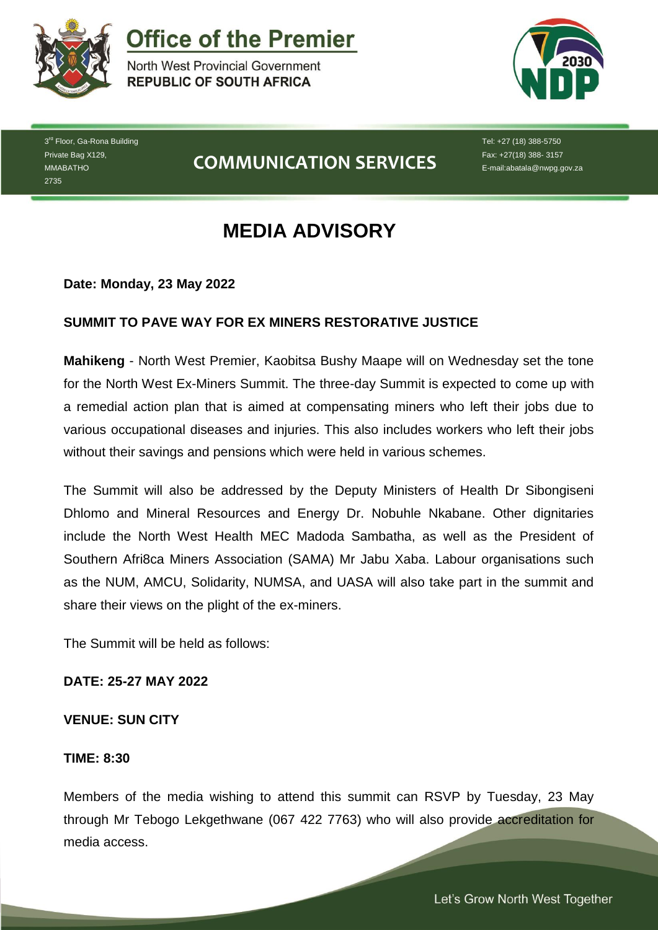

**Office of the Premier** 

North West Provincial Government **REPUBLIC OF SOUTH AFRICA** 



3<sup>rd</sup> Floor, Ga-Rona Building Private Bag X129, MMABATHO 2735

# **COMMUNICATION SERVICES**

Tel: +27 (18) 388-5750 Fax: +27(18) 388- 3157 E-mail:abatala@nwpg.gov.za

# **MEDIA ADVISORY**

**Date: Monday, 23 May 2022**

### **SUMMIT TO PAVE WAY FOR EX MINERS RESTORATIVE JUSTICE**

**Mahikeng** - North West Premier, Kaobitsa Bushy Maape will on Wednesday set the tone for the North West Ex-Miners Summit. The three-day Summit is expected to come up with a remedial action plan that is aimed at compensating miners who left their jobs due to various occupational diseases and injuries. This also includes workers who left their jobs without their savings and pensions which were held in various schemes.

The Summit will also be addressed by the Deputy Ministers of Health Dr Sibongiseni Dhlomo and Mineral Resources and Energy Dr. Nobuhle Nkabane. Other dignitaries include the North West Health MEC Madoda Sambatha, as well as the President of Southern Afri8ca Miners Association (SAMA) Mr Jabu Xaba. Labour organisations such as the NUM, AMCU, Solidarity, NUMSA, and UASA will also take part in the summit and share their views on the plight of the ex-miners.

The Summit will be held as follows:

#### **DATE: 25-27 MAY 2022**

#### **VENUE: SUN CITY**

#### **TIME: 8:30**

Members of the media wishing to attend this summit can RSVP by Tuesday, 23 May through Mr Tebogo Lekgethwane (067 422 7763) who will also provide accreditation for media access.

*Let's Grow North West Together* 

Let's Grow North West Together